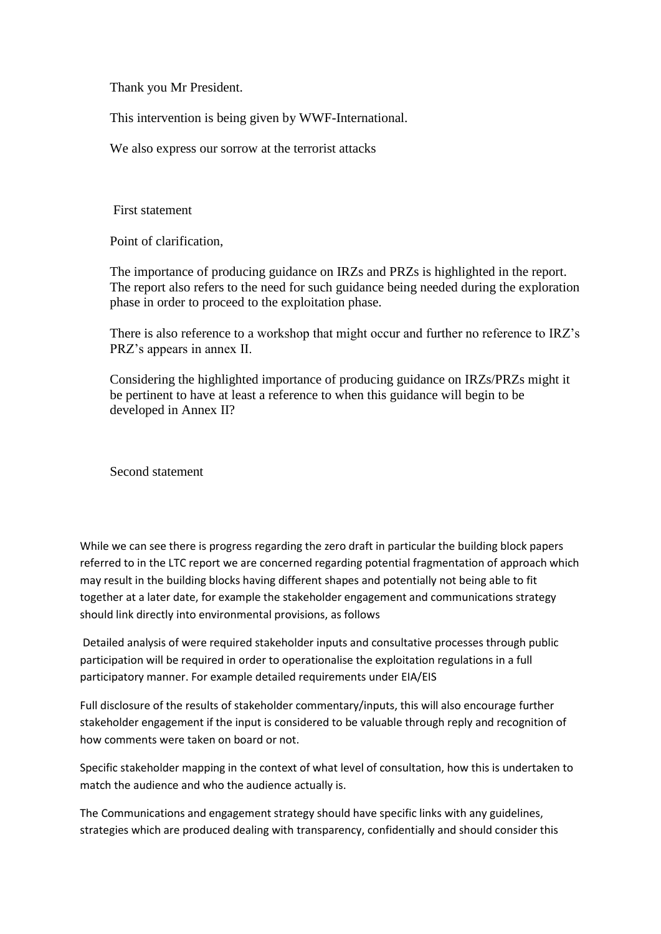Thank you Mr President.

This intervention is being given by WWF-International.

We also express our sorrow at the terrorist attacks

First statement

Point of clarification,

The importance of producing guidance on IRZs and PRZs is highlighted in the report. The report also refers to the need for such guidance being needed during the exploration phase in order to proceed to the exploitation phase.

There is also reference to a workshop that might occur and further no reference to IRZ's PRZ's appears in annex II.

Considering the highlighted importance of producing guidance on IRZs/PRZs might it be pertinent to have at least a reference to when this guidance will begin to be developed in Annex II?

Second statement

While we can see there is progress regarding the zero draft in particular the building block papers referred to in the LTC report we are concerned regarding potential fragmentation of approach which may result in the building blocks having different shapes and potentially not being able to fit together at a later date, for example the stakeholder engagement and communications strategy should link directly into environmental provisions, as follows

Detailed analysis of were required stakeholder inputs and consultative processes through public participation will be required in order to operationalise the exploitation regulations in a full participatory manner. For example detailed requirements under EIA/EIS

Full disclosure of the results of stakeholder commentary/inputs, this will also encourage further stakeholder engagement if the input is considered to be valuable through reply and recognition of how comments were taken on board or not.

Specific stakeholder mapping in the context of what level of consultation, how this is undertaken to match the audience and who the audience actually is.

The Communications and engagement strategy should have specific links with any guidelines, strategies which are produced dealing with transparency, confidentially and should consider this